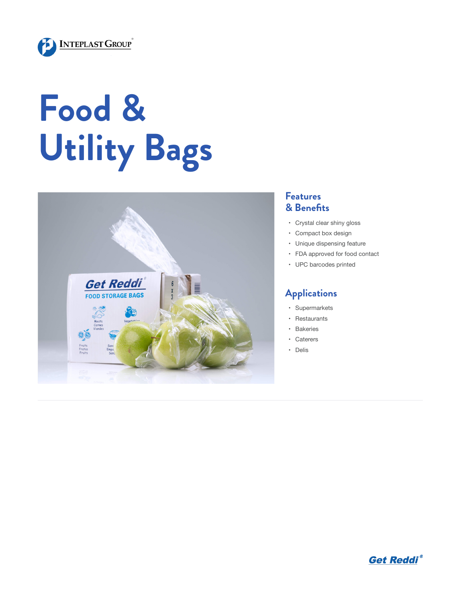

## **Food & Utility Bags**



## **Features & Benefits**

- • Crystal clear shiny gloss
- • Compact box design
- • Unique dispensing feature
- • FDA approved for food contact
- • UPC barcodes printed

## **Applications**

- • Supermarkets
- • Restaurants
- • Bakeries
- • Caterers
- • Delis